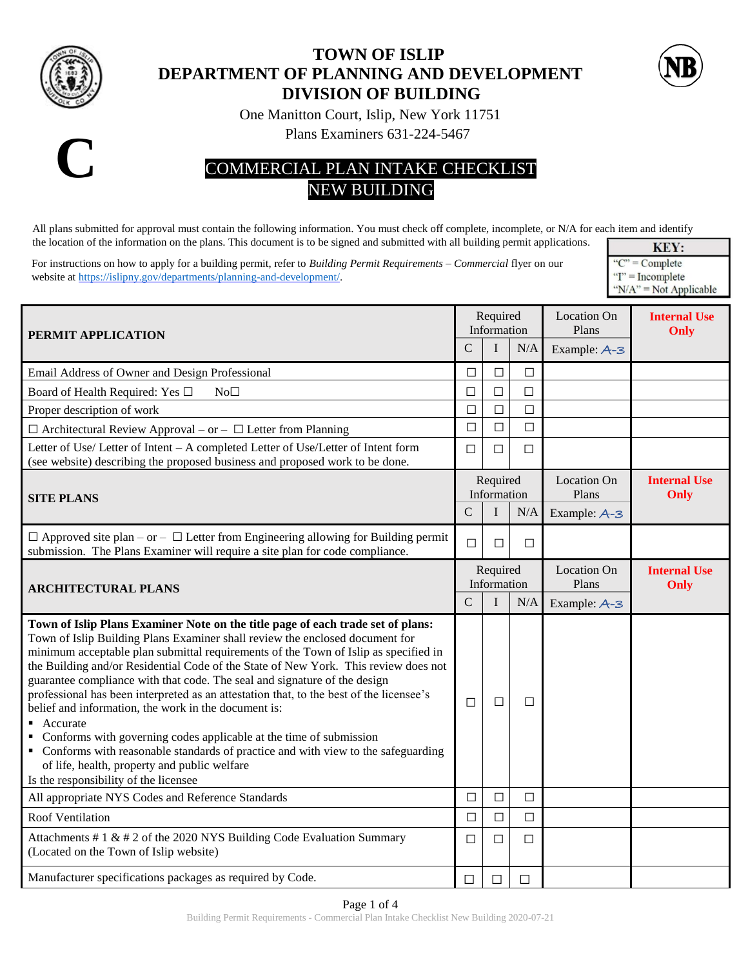

## **TOWN OF ISLIP DEPARTMENT OF PLANNING AND DEVELOPMENT DIVISION OF BUILDING**



One Manitton Court, Islip, New York 11751

Plans Examiners 631-224-5467



## COMMERCIAL PLAN INTAKE CHECKLIST NEW BUILDING

All plans submitted for approval must contain the following information. You must check off complete, incomplete, or N/A for each item and identify the location of the information on the plans. This document is to be signed and submitted with all building permit applications.

For instructions on how to apply for a building permit, refer to *Building Permit Requirements – Commercial* flyer on our website a[t https://islipny.gov/departments/planning-and-development/.](https://islipny.gov/departments/planning-and-development/)

KEY: " $C$ " = Complete  $T'$  = Incomplete " $N/A$ " = Not Applicable

| PERMIT APPLICATION                                                                                                                                                                                                                                                                                                                                                                                                                                                                                                                                                                                                                                                                                                                                                                                                                             |               | Required<br>Information |        | <b>Location On</b><br>Plans | <b>Internal Use</b><br>Only |
|------------------------------------------------------------------------------------------------------------------------------------------------------------------------------------------------------------------------------------------------------------------------------------------------------------------------------------------------------------------------------------------------------------------------------------------------------------------------------------------------------------------------------------------------------------------------------------------------------------------------------------------------------------------------------------------------------------------------------------------------------------------------------------------------------------------------------------------------|---------------|-------------------------|--------|-----------------------------|-----------------------------|
|                                                                                                                                                                                                                                                                                                                                                                                                                                                                                                                                                                                                                                                                                                                                                                                                                                                | $\mathcal{C}$ | I                       | N/A    | Example: A-3                |                             |
| Email Address of Owner and Design Professional                                                                                                                                                                                                                                                                                                                                                                                                                                                                                                                                                                                                                                                                                                                                                                                                 | П             | $\Box$                  | $\Box$ |                             |                             |
| Board of Health Required: Yes □<br>$No\square$                                                                                                                                                                                                                                                                                                                                                                                                                                                                                                                                                                                                                                                                                                                                                                                                 | $\Box$        | $\Box$                  | □      |                             |                             |
| Proper description of work                                                                                                                                                                                                                                                                                                                                                                                                                                                                                                                                                                                                                                                                                                                                                                                                                     | $\Box$        | $\Box$                  | $\Box$ |                             |                             |
| $\Box$ Architectural Review Approval – or – $\Box$ Letter from Planning                                                                                                                                                                                                                                                                                                                                                                                                                                                                                                                                                                                                                                                                                                                                                                        | □             | $\Box$                  | $\Box$ |                             |                             |
| Letter of Use/ Letter of Intent - A completed Letter of Use/Letter of Intent form<br>(see website) describing the proposed business and proposed work to be done.                                                                                                                                                                                                                                                                                                                                                                                                                                                                                                                                                                                                                                                                              | □             | $\Box$                  | $\Box$ |                             |                             |
| <b>SITE PLANS</b>                                                                                                                                                                                                                                                                                                                                                                                                                                                                                                                                                                                                                                                                                                                                                                                                                              |               | Required<br>Information |        | <b>Location On</b><br>Plans | <b>Internal Use</b><br>Only |
|                                                                                                                                                                                                                                                                                                                                                                                                                                                                                                                                                                                                                                                                                                                                                                                                                                                | $\mathsf{C}$  | $\bf{I}$                | N/A    | Example: A-3                |                             |
| $\Box$ Approved site plan – or – $\Box$ Letter from Engineering allowing for Building permit<br>submission. The Plans Examiner will require a site plan for code compliance.                                                                                                                                                                                                                                                                                                                                                                                                                                                                                                                                                                                                                                                                   | $\Box$        | $\Box$                  | $\Box$ |                             |                             |
| <b>ARCHITECTURAL PLANS</b>                                                                                                                                                                                                                                                                                                                                                                                                                                                                                                                                                                                                                                                                                                                                                                                                                     |               | Required<br>Information |        | <b>Location On</b><br>Plans | <b>Internal Use</b><br>Only |
|                                                                                                                                                                                                                                                                                                                                                                                                                                                                                                                                                                                                                                                                                                                                                                                                                                                | $\mathcal{C}$ | $\bf I$                 | N/A    | Example: A-3                |                             |
| Town of Islip Plans Examiner Note on the title page of each trade set of plans:<br>Town of Islip Building Plans Examiner shall review the enclosed document for<br>minimum acceptable plan submittal requirements of the Town of Islip as specified in<br>the Building and/or Residential Code of the State of New York. This review does not<br>guarantee compliance with that code. The seal and signature of the design<br>professional has been interpreted as an attestation that, to the best of the licensee's<br>belief and information, the work in the document is:<br>Accurate<br>Conforms with governing codes applicable at the time of submission<br>• Conforms with reasonable standards of practice and with view to the safeguarding<br>of life, health, property and public welfare<br>Is the responsibility of the licensee | $\Box$        | □                       | $\Box$ |                             |                             |
| All appropriate NYS Codes and Reference Standards                                                                                                                                                                                                                                                                                                                                                                                                                                                                                                                                                                                                                                                                                                                                                                                              | $\Box$        | $\Box$                  | $\Box$ |                             |                             |
| <b>Roof Ventilation</b>                                                                                                                                                                                                                                                                                                                                                                                                                                                                                                                                                                                                                                                                                                                                                                                                                        | $\Box$        | $\Box$                  | $\Box$ |                             |                             |
| Attachments # $1 \& 42$ of the 2020 NYS Building Code Evaluation Summary<br>(Located on the Town of Islip website)                                                                                                                                                                                                                                                                                                                                                                                                                                                                                                                                                                                                                                                                                                                             | □             | $\Box$                  | $\Box$ |                             |                             |
| Manufacturer specifications packages as required by Code.                                                                                                                                                                                                                                                                                                                                                                                                                                                                                                                                                                                                                                                                                                                                                                                      | П             | □                       | П      |                             |                             |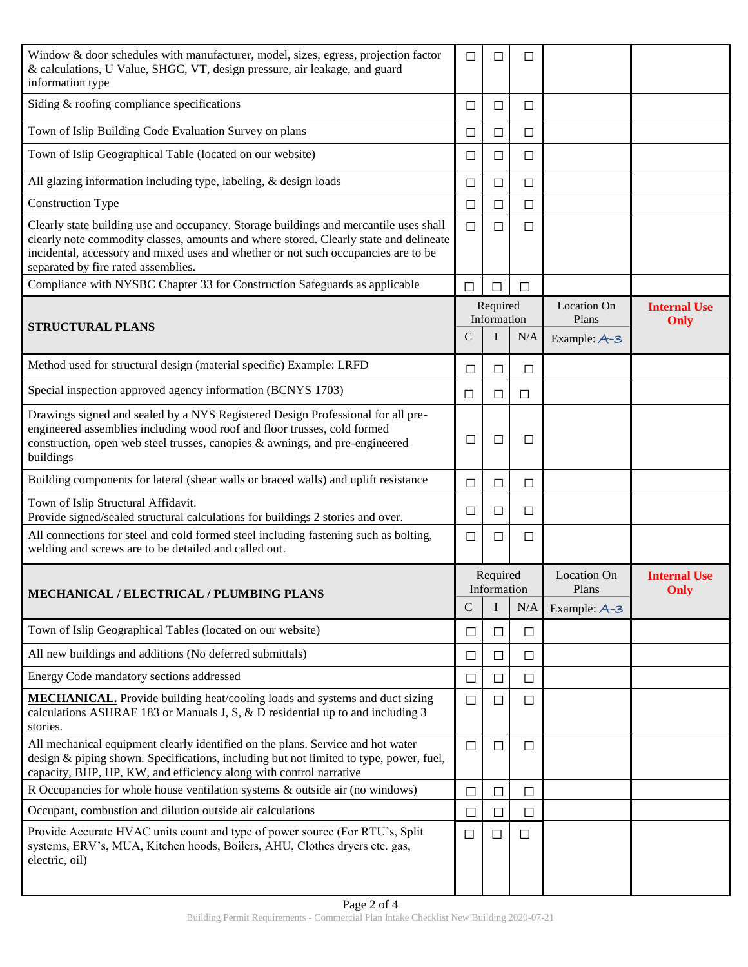| Window & door schedules with manufacturer, model, sizes, egress, projection factor<br>& calculations, U Value, SHGC, VT, design pressure, air leakage, and guard<br>information type                                                                                                                        | □            | $\Box$                       | $\Box$                                     |                                      |                             |
|-------------------------------------------------------------------------------------------------------------------------------------------------------------------------------------------------------------------------------------------------------------------------------------------------------------|--------------|------------------------------|--------------------------------------------|--------------------------------------|-----------------------------|
| Siding $&$ roofing compliance specifications                                                                                                                                                                                                                                                                | ⊔            | $\Box$                       | □                                          |                                      |                             |
| Town of Islip Building Code Evaluation Survey on plans                                                                                                                                                                                                                                                      | □            | $\Box$                       | $\Box$                                     |                                      |                             |
| Town of Islip Geographical Table (located on our website)                                                                                                                                                                                                                                                   | □            | $\Box$                       | $\Box$                                     |                                      |                             |
| All glazing information including type, labeling, & design loads                                                                                                                                                                                                                                            | ⊔            | $\Box$                       | □                                          |                                      |                             |
| <b>Construction Type</b>                                                                                                                                                                                                                                                                                    | □            | □                            | $\Box$                                     |                                      |                             |
| Clearly state building use and occupancy. Storage buildings and mercantile uses shall<br>clearly note commodity classes, amounts and where stored. Clearly state and delineate<br>incidental, accessory and mixed uses and whether or not such occupancies are to be<br>separated by fire rated assemblies. | □            | $\Box$                       | □                                          |                                      |                             |
| Compliance with NYSBC Chapter 33 for Construction Safeguards as applicable                                                                                                                                                                                                                                  | П            | □                            | П                                          |                                      |                             |
| <b>STRUCTURAL PLANS</b>                                                                                                                                                                                                                                                                                     | C            | Required<br>Information<br>I | N/A                                        | Location On<br>Plans<br>Example: A-3 | <b>Internal Use</b><br>Only |
| Method used for structural design (material specific) Example: LRFD                                                                                                                                                                                                                                         | □            | $\Box$                       | □                                          |                                      |                             |
| Special inspection approved agency information (BCNYS 1703)                                                                                                                                                                                                                                                 | $\Box$       | $\Box$                       | $\Box$                                     |                                      |                             |
| Drawings signed and sealed by a NYS Registered Design Professional for all pre-<br>engineered assemblies including wood roof and floor trusses, cold formed<br>construction, open web steel trusses, canopies & awnings, and pre-engineered<br>buildings                                                    | ⊔            | □                            | □                                          |                                      |                             |
| Building components for lateral (shear walls or braced walls) and uplift resistance                                                                                                                                                                                                                         | □            | $\Box$                       | $\Box$                                     |                                      |                             |
| Town of Islip Structural Affidavit.<br>Provide signed/sealed structural calculations for buildings 2 stories and over.                                                                                                                                                                                      | □            | $\Box$                       | $\Box$                                     |                                      |                             |
| All connections for steel and cold formed steel including fastening such as bolting,<br>welding and screws are to be detailed and called out.                                                                                                                                                               | □            | $\Box$                       | $\Box$                                     |                                      |                             |
| MECHANICAL / ELECTRICAL / PLUMBING PLANS                                                                                                                                                                                                                                                                    | Required     |                              | <b>Location On</b><br>Information<br>Plans |                                      | <b>Internal Use</b><br>Only |
|                                                                                                                                                                                                                                                                                                             | $\mathsf{C}$ | I                            | N/A                                        | Example: $A - 3$                     |                             |
| Town of Islip Geographical Tables (located on our website)                                                                                                                                                                                                                                                  | □            | $\Box$                       | $\Box$                                     |                                      |                             |
| All new buildings and additions (No deferred submittals)                                                                                                                                                                                                                                                    | ⊔            | $\Box$                       | $\Box$                                     |                                      |                             |
| Energy Code mandatory sections addressed                                                                                                                                                                                                                                                                    | □            | $\Box$                       | □                                          |                                      |                             |
| <b>MECHANICAL.</b> Provide building heat/cooling loads and systems and duct sizing<br>calculations ASHRAE 183 or Manuals J, S, & D residential up to and including 3<br>stories.                                                                                                                            | □            | $\Box$                       | ப                                          |                                      |                             |
| All mechanical equipment clearly identified on the plans. Service and hot water<br>design & piping shown. Specifications, including but not limited to type, power, fuel,<br>capacity, BHP, HP, KW, and efficiency along with control narrative                                                             | □            | □                            | □                                          |                                      |                             |
| R Occupancies for whole house ventilation systems & outside air (no windows)                                                                                                                                                                                                                                | □            | $\Box$                       | $\Box$                                     |                                      |                             |
| Occupant, combustion and dilution outside air calculations                                                                                                                                                                                                                                                  | □            | $\Box$                       | $\Box$                                     |                                      |                             |
| Provide Accurate HVAC units count and type of power source (For RTU's, Split<br>systems, ERV's, MUA, Kitchen hoods, Boilers, AHU, Clothes dryers etc. gas,<br>electric, oil)                                                                                                                                | $\Box$       | $\Box$                       | $\Box$                                     |                                      |                             |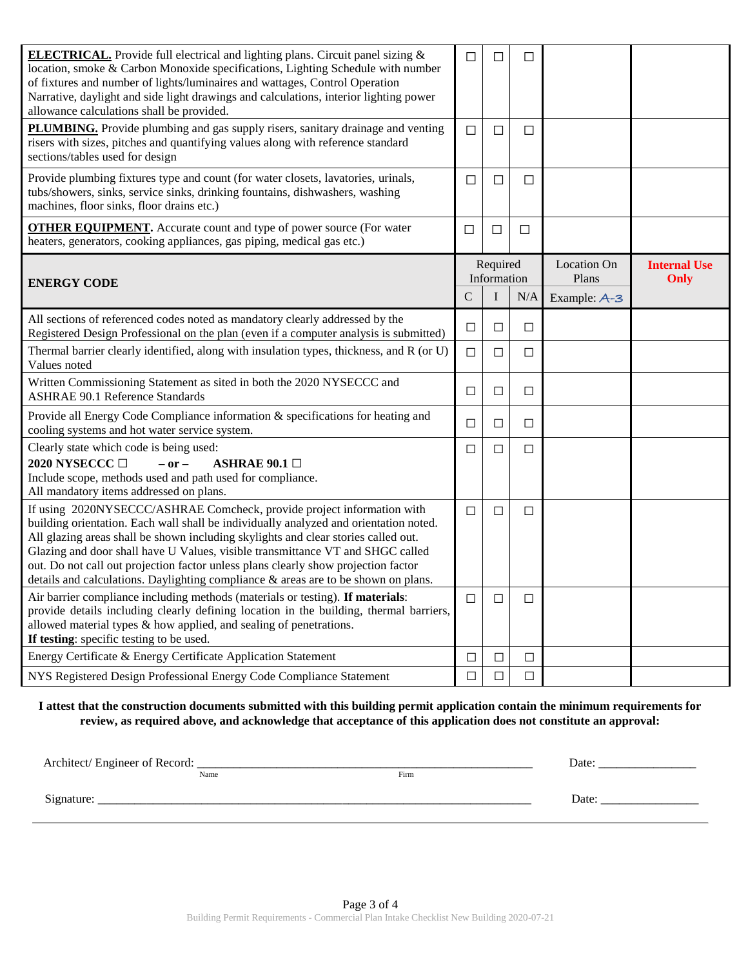| <b>ELECTRICAL.</b> Provide full electrical and lighting plans. Circuit panel sizing &<br>location, smoke & Carbon Monoxide specifications, Lighting Schedule with number<br>of fixtures and number of lights/luminaires and wattages, Control Operation<br>Narrative, daylight and side light drawings and calculations, interior lighting power<br>allowance calculations shall be provided.                                                                                                                       | □      | П                       | □      |                      |                             |
|---------------------------------------------------------------------------------------------------------------------------------------------------------------------------------------------------------------------------------------------------------------------------------------------------------------------------------------------------------------------------------------------------------------------------------------------------------------------------------------------------------------------|--------|-------------------------|--------|----------------------|-----------------------------|
| PLUMBING. Provide plumbing and gas supply risers, sanitary drainage and venting<br>risers with sizes, pitches and quantifying values along with reference standard<br>sections/tables used for design                                                                                                                                                                                                                                                                                                               | □      | □                       | □      |                      |                             |
| Provide plumbing fixtures type and count (for water closets, lavatories, urinals,<br>tubs/showers, sinks, service sinks, drinking fountains, dishwashers, washing<br>machines, floor sinks, floor drains etc.)                                                                                                                                                                                                                                                                                                      | □      | □                       | □      |                      |                             |
| <b>OTHER EQUIPMENT.</b> Accurate count and type of power source (For water<br>heaters, generators, cooking appliances, gas piping, medical gas etc.)                                                                                                                                                                                                                                                                                                                                                                | □      | □                       | $\Box$ |                      |                             |
| <b>ENERGY CODE</b>                                                                                                                                                                                                                                                                                                                                                                                                                                                                                                  |        | Required<br>Information |        | Location On<br>Plans | <b>Internal Use</b><br>Only |
|                                                                                                                                                                                                                                                                                                                                                                                                                                                                                                                     | C      | I                       | N/A    | Example: A-3         |                             |
| All sections of referenced codes noted as mandatory clearly addressed by the<br>Registered Design Professional on the plan (even if a computer analysis is submitted)                                                                                                                                                                                                                                                                                                                                               | $\Box$ | $\Box$                  | $\Box$ |                      |                             |
| Thermal barrier clearly identified, along with insulation types, thickness, and R (or U)<br>Values noted                                                                                                                                                                                                                                                                                                                                                                                                            | $\Box$ | □                       | $\Box$ |                      |                             |
| Written Commissioning Statement as sited in both the 2020 NYSECCC and<br><b>ASHRAE 90.1 Reference Standards</b>                                                                                                                                                                                                                                                                                                                                                                                                     | $\Box$ | $\Box$                  | $\Box$ |                      |                             |
| Provide all Energy Code Compliance information & specifications for heating and<br>cooling systems and hot water service system.                                                                                                                                                                                                                                                                                                                                                                                    | □      | $\Box$                  | $\Box$ |                      |                             |
| Clearly state which code is being used:<br>2020 NYSECCC □<br>$-$ or $-$<br>ASHRAE 90.1 $\Box$<br>Include scope, methods used and path used for compliance.<br>All mandatory items addressed on plans.                                                                                                                                                                                                                                                                                                               | $\Box$ | □                       | $\Box$ |                      |                             |
| If using 2020NYSECCC/ASHRAE Comcheck, provide project information with<br>building orientation. Each wall shall be individually analyzed and orientation noted.<br>All glazing areas shall be shown including skylights and clear stories called out.<br>Glazing and door shall have U Values, visible transmittance VT and SHGC called<br>out. Do not call out projection factor unless plans clearly show projection factor<br>details and calculations. Daylighting compliance & areas are to be shown on plans. | $\Box$ | □                       | $\Box$ |                      |                             |
| Air barrier compliance including methods (materials or testing). If materials:<br>provide details including clearly defining location in the building, thermal barriers,<br>allowed material types & how applied, and sealing of penetrations.<br>If testing: specific testing to be used.                                                                                                                                                                                                                          | $\Box$ | □                       | □      |                      |                             |
| Energy Certificate & Energy Certificate Application Statement                                                                                                                                                                                                                                                                                                                                                                                                                                                       | $\Box$ | $\Box$                  | $\Box$ |                      |                             |
| NYS Registered Design Professional Energy Code Compliance Statement                                                                                                                                                                                                                                                                                                                                                                                                                                                 | $\Box$ | $\Box$                  | $\Box$ |                      |                             |

**I attest that the construction documents submitted with this building permit application contain the minimum requirements for review, as required above, and acknowledge that acceptance of this application does not constitute an approval:** 

| Architect/ Engineer of Record: | Date |      |      |
|--------------------------------|------|------|------|
|                                | Name | Firm |      |
| Signature:                     |      |      | Date |
|                                |      |      |      |